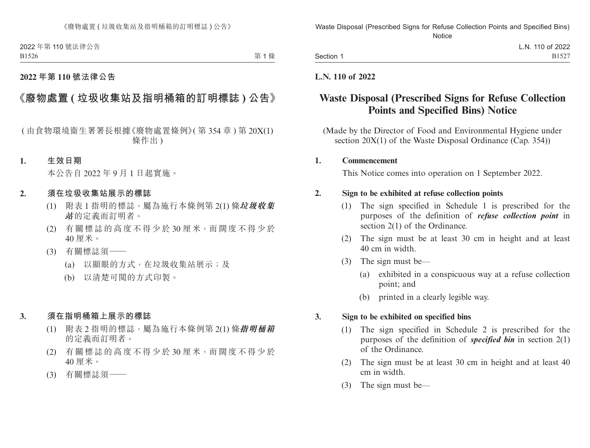第1條

### **2022 年第 110 號法律公告**

## **《廢物處置 ( 垃圾收集站及指明桶箱的訂明標誌 ) 公告》**

( 由食物環境衞生署署長根據《廢物處置條例》( 第 354 章 ) 第 20X(1) 條作出 )

#### **1. 生效日期**

本公告自 2022 年 9 月 1 日起實施。

#### **2. 須在垃圾收集站展示的標誌**

- (1) 附表 1 指明的標誌,屬為施行本條例第 2(1) 條**垃圾收集 站**的定義而訂明者。
- (2) 有關標誌的高度不得少於 30 厘米,而闊度不得少於 40 厘米。
- (3) 有關標誌須——
	- (a) 以顯眼的方式,在垃圾收集站展示;及
	- (b) 以清楚可閱的方式印製。
- **3. 須在指明桶箱上展示的標誌**
	- (1) 附表 2 指明的標誌,屬為施行本條例第 2(1) 條**指明桶箱** 的定義而訂明者。
	- (2) 有關標誌的高度不得少於 30 厘米,而闊度不得少於 40 厘米。
	- (3) 有關標誌須——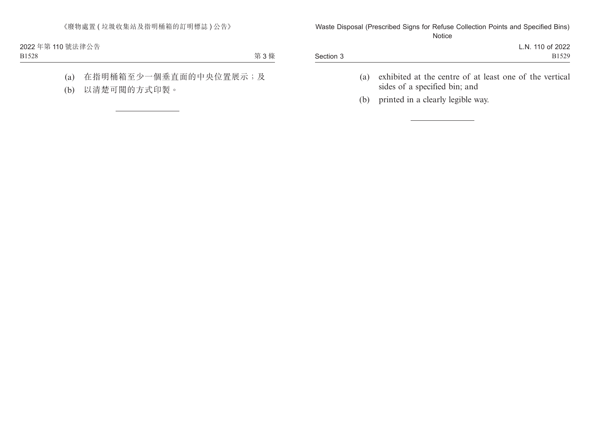第 3 條

- (a) 在指明桶箱至少一個垂直面的中央位置展示;及
- (b) 以清楚可閱的方式印製。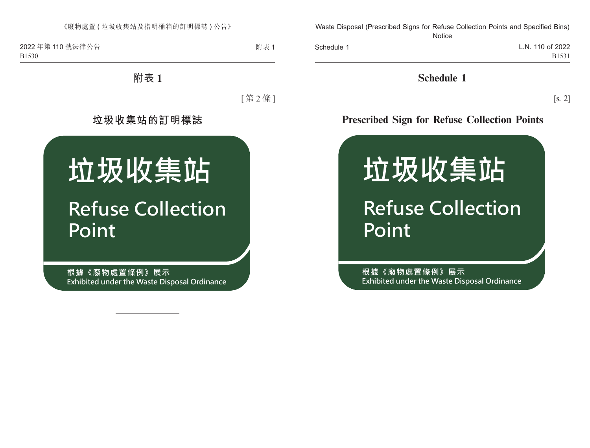附表 1

# **附表 1**

[ 第 2 條 ]

# **垃圾收集站的訂明標誌**



**根據《廢物處置條例》展示 Exhibited under the Waste Disposal Ordinance**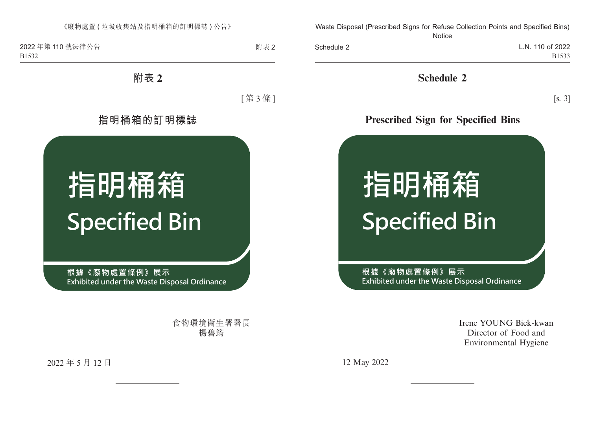附表 2

**附表 2**

[ 第 3 條 ]

**指明桶箱的訂明標誌**



**根據《廢物處置條例》展示 Exhibited under the Waste Disposal Ordinance** 

> 食物環境衞生署署長 楊碧筠

2022 年 5 月 12 日